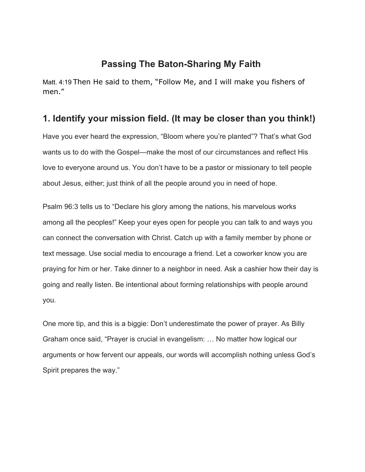## **Passing The Baton-Sharing My Faith**

Matt. 4:19 Then He said to them, "Follow Me, and I will make you fishers of men."

## **1. Identify your mission field. (It may be closer than you think!)**

Have you ever heard the expression, "Bloom where you're planted"? That's what God wants us to do with the Gospel—make the most of our circumstances and reflect His love to everyone around us. You don't have to be a pastor or missionary to tell people about Jesus, either; just think of all the people around you in need of hope.

Psalm 96:3 tells us to "Declare his glory among the nations, his marvelous works among all the peoples!" Keep your eyes open for people you can talk to and ways you can connect the conversation with Christ. Catch up with a family member by phone or text message. Use social media to encourage a friend. Let a coworker know you are praying for him or her. Take dinner to a neighbor in need. Ask a cashier how their day is going and really listen. Be intentional about forming relationships with people around you.

One more tip, and this is a biggie: Don't underestimate the power of prayer. As Billy Graham once said, "Prayer is crucial in evangelism: … No matter how logical our arguments or how fervent our appeals, our words will accomplish nothing unless God's Spirit prepares the way."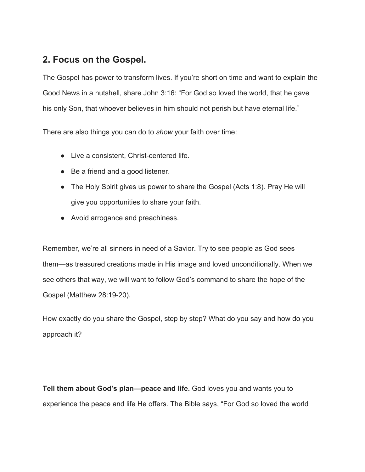## **2. Focus on the Gospel.**

The Gospel has power to transform lives. If you're short on time and want to explain the Good News in a nutshell, share John 3:16: "For God so loved the world, that he gave his only Son, that whoever believes in him should not perish but have eternal life."

There are also things you can do to *show* your faith over time:

- Live a consistent, Christ-centered life.
- Be a friend and a good listener.
- The Holy Spirit gives us power to share the Gospel (Acts 1:8). Pray He will give you opportunities to share your faith.
- Avoid arrogance and preachiness.

Remember, we're all sinners in need of a Savior. Try to see people as God sees them—as treasured creations made in His image and loved unconditionally. When we see others that way, we will want to follow God's command to share the hope of the Gospel (Matthew 28:19-20).

How exactly do you share the Gospel, step by step? What do you say and how do you approach it?

**Tell them about God's plan—peace and life.** God loves you and wants you to experience the peace and life He offers. The Bible says, "For God so loved the world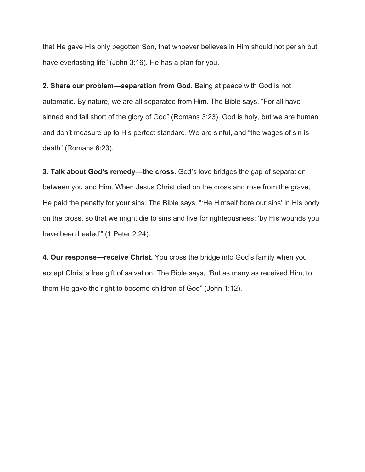that He gave His only begotten Son, that whoever believes in Him should not perish but have everlasting life" (John 3:16). He has a plan for you.

**2. Share our problem—separation from God.** Being at peace with God is not automatic. By nature, we are all separated from Him. The Bible says, "For all have sinned and fall short of the glory of God" (Romans 3:23). God is holy, but we are human and don't measure up to His perfect standard. We are sinful, and "the wages of sin is death" (Romans 6:23).

**3. Talk about God's remedy—the cross.** God's love bridges the gap of separation between you and Him. When Jesus Christ died on the cross and rose from the grave, He paid the penalty for your sins. The Bible says, "'He Himself bore our sins' in His body on the cross, so that we might die to sins and live for righteousness; 'by His wounds you have been healed" (1 Peter 2:24).

**4. Our response—receive Christ.** You cross the bridge into God's family when you accept Christ's free gift of salvation. The Bible says, "But as many as received Him, to them He gave the right to become children of God" (John 1:12).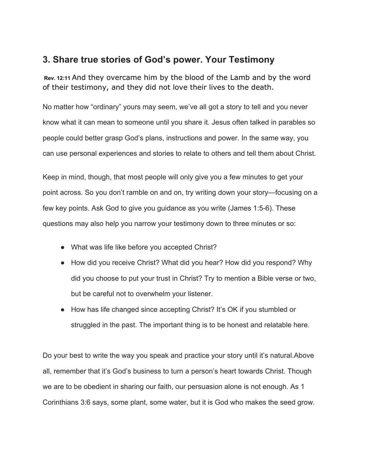## **3. Share true stories of God's power. Your Testimony**

 **Rev. 12:11** And they overcame him by the blood of the Lamb and by the word of their testimony, and they did not love their lives to the death.

No matter how "ordinary" yours may seem, we've all got a story to tell and you never know what it can mean to someone until you share it. Jesus often talked in parables so people could better grasp God's plans, instructions and power. In the same way, you can use personal experiences and stories to relate to others and tell them about Christ.

Keep in mind, though, that most people will only give you a few minutes to get your point across. So you don't ramble on and on, try writing down your story—focusing on a few key points. Ask God to give you guidance as you write (James 1:5-6). These questions may also help you narrow your testimony down to three minutes or so:

- What was life like before you accepted Christ?
- How did you receive Christ? What did you hear? How did you respond? Why did you choose to put your trust in Christ? Try to mention a Bible verse or two, but be careful not to overwhelm your listener.
- How has life changed since accepting Christ? It's OK if you stumbled or struggled in the past. The important thing is to be honest and relatable here.

Do your best to write the way you speak and practice your story until it's natural.Above all, remember that it's God's business to turn a person's heart towards Christ. Though we are to be obedient in sharing our faith, our persuasion alone is not enough. As 1 Corinthians 3:6 says, some plant, some water, but it is God who makes the seed grow.